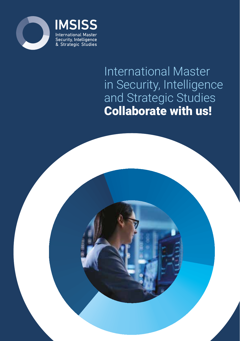



# International Master in Security, Intelligence and Strategic Studies Collaborate with us!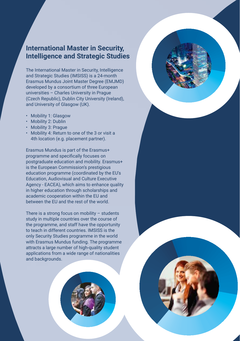## **International Master in Security, Intelligence and Strategic Studies**

The International Master in Security, Intelligence and Strategic Studies (IMSISS) is a 24-month Erasmus Mundus Joint Master Degree (EMJMD) developed by a consortium of three European universities – Charles University in Prague (Czech Republic), Dublin City University (Ireland), and University of Glasgow (UK).

- Mobility 1: Glasgow
- Mobility 2: Dublin
- Mobility 3: Prague
- Mobility 4: Return to one of the 3 or visit a 4th location (e.g. placement partner).

Erasmus Mundus is part of the Erasmus+ programme and specifically focuses on postgraduate education and mobility. Erasmus+ is the European Commission's prestigious education programme (coordinated by the EU's Education, Audiovisual and Culture Executive Agency - EACEA), which aims to enhance quality in higher education through scholarships and academic cooperation within the EU and between the EU and the rest of the world.

There is a strong focus on mobility – students study in multiple countries over the course of the programme, and staff have the opportunity to teach in different countries. IMSISS is the only Security Studies programme in the world with Erasmus Mundus funding. The programme attracts a large number of high-quality student applications from a wide range of nationalities and backgrounds.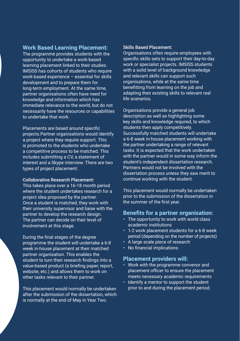#### **Work Based Learning Placement:**

The programme provides students with the opportunity to undertake a work-based learning placement linked to their studies. IMSISS has cohorts of students who require work-based experience – essential for skills development and to prepare them for long-term employment. At the same time, partner organisations often have need for knowledge and information which has immediate relevance to the world, but do not necessarily have the resources or capabilities to undertake that work.

Placements are based around specific projects.Partner organisations would identify a project where they require support. This is promoted to the students who undertake a competitive process to be matched. This includes submitting a CV, a statement of interest and a Skype interview. There are two types of project placement:

#### Collaborative Research Placement:

This takes place over a 16-18 month period where the student undertakes research for a project idea proposed by the partner. Once a student is matched, they work with their university supervisor and liaise with the partner to develop the research design. The partner can decide on their level of

#### Skills Based Placement:

Organisations often require employees with specific skills sets to support their day-to-day work or specialist projects. IMSISS students with a solid level of background knowledge and relevant skills can support such organisations, while at the same time benefitting from learning on the job and adapting their existing skills to relevant real life scenarios.

Organisations provide a general job description as well as highlighting some key skills and knowledge required, to which students then apply competitively. Successfully matched students will undertake a 6-8 week in-house placement working with the partner undertaking a range of relevant tasks. It is expected that the work undertaken with the partner would in some way inform the student's independent dissertation research. Partners would not be involved with the dissertation process unless they saw merit to continue working with the student.

This placement would normally be undertaken prior to the submission of the dissertation in the summer of the first year.

#### **Benefits for a partner organisation:**

• The opportunity to work with world class institutions blacement students for a 6-8 week pending on the number of projects) ale piece of research ial implications

### **Placement providers will:**

the programme convenor and t officer to ensure the placement cessary academic requirements mentor to support the student d during the placement period.